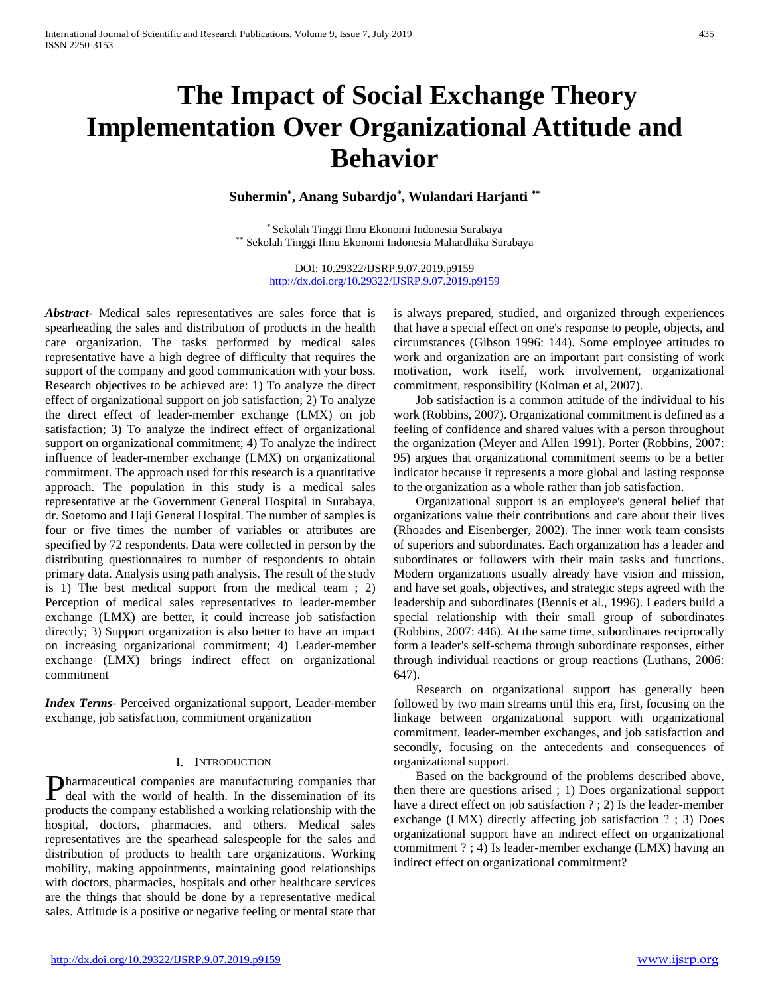# **The Impact of Social Exchange Theory Implementation Over Organizational Attitude and Behavior**

**Suhermin\* , Anang Subardjo\* , Wulandari Harjanti \*\***

\* Sekolah Tinggi Ilmu Ekonomi Indonesia Surabaya \*\* Sekolah Tinggi Ilmu Ekonomi Indonesia Mahardhika Surabaya

> DOI: 10.29322/IJSRP.9.07.2019.p9159 <http://dx.doi.org/10.29322/IJSRP.9.07.2019.p9159>

*Abstract***-** Medical sales representatives are sales force that is spearheading the sales and distribution of products in the health care organization. The tasks performed by medical sales representative have a high degree of difficulty that requires the support of the company and good communication with your boss. Research objectives to be achieved are: 1) To analyze the direct effect of organizational support on job satisfaction; 2) To analyze the direct effect of leader-member exchange (LMX) on job satisfaction; 3) To analyze the indirect effect of organizational support on organizational commitment; 4) To analyze the indirect influence of leader-member exchange (LMX) on organizational commitment. The approach used for this research is a quantitative approach. The population in this study is a medical sales representative at the Government General Hospital in Surabaya, dr. Soetomo and Haji General Hospital. The number of samples is four or five times the number of variables or attributes are specified by 72 respondents. Data were collected in person by the distributing questionnaires to number of respondents to obtain primary data. Analysis using path analysis. The result of the study is 1) The best medical support from the medical team ; 2) Perception of medical sales representatives to leader-member exchange (LMX) are better, it could increase job satisfaction directly; 3) Support organization is also better to have an impact on increasing organizational commitment; 4) Leader-member exchange (LMX) brings indirect effect on organizational commitment

*Index Terms*- Perceived organizational support, Leader-member exchange, job satisfaction, commitment organization

#### I. INTRODUCTION

harmaceutical companies are manufacturing companies that **Pharmaceutical companies are manufacturing companies that** deal with the world of health. In the dissemination of its products the company established a working relationship with the hospital, doctors, pharmacies, and others. Medical sales representatives are the spearhead salespeople for the sales and distribution of products to health care organizations. Working mobility, making appointments, maintaining good relationships with doctors, pharmacies, hospitals and other healthcare services are the things that should be done by a representative medical sales. Attitude is a positive or negative feeling or mental state that

is always prepared, studied, and organized through experiences that have a special effect on one's response to people, objects, and circumstances (Gibson 1996: 144). Some employee attitudes to work and organization are an important part consisting of work motivation, work itself, work involvement, organizational commitment, responsibility (Kolman et al, 2007).

 Job satisfaction is a common attitude of the individual to his work (Robbins, 2007). Organizational commitment is defined as a feeling of confidence and shared values with a person throughout the organization (Meyer and Allen 1991). Porter (Robbins, 2007: 95) argues that organizational commitment seems to be a better indicator because it represents a more global and lasting response to the organization as a whole rather than job satisfaction.

 Organizational support is an employee's general belief that organizations value their contributions and care about their lives (Rhoades and Eisenberger, 2002). The inner work team consists of superiors and subordinates. Each organization has a leader and subordinates or followers with their main tasks and functions. Modern organizations usually already have vision and mission, and have set goals, objectives, and strategic steps agreed with the leadership and subordinates (Bennis et al., 1996). Leaders build a special relationship with their small group of subordinates (Robbins, 2007: 446). At the same time, subordinates reciprocally form a leader's self-schema through subordinate responses, either through individual reactions or group reactions (Luthans, 2006: 647).

 Research on organizational support has generally been followed by two main streams until this era, first, focusing on the linkage between organizational support with organizational commitment, leader-member exchanges, and job satisfaction and secondly, focusing on the antecedents and consequences of organizational support.

 Based on the background of the problems described above, then there are questions arised ; 1) Does organizational support have a direct effect on job satisfaction ? ; 2) Is the leader-member exchange (LMX) directly affecting job satisfaction ? ; 3) Does organizational support have an indirect effect on organizational commitment ? ; 4) Is leader-member exchange (LMX) having an indirect effect on organizational commitment?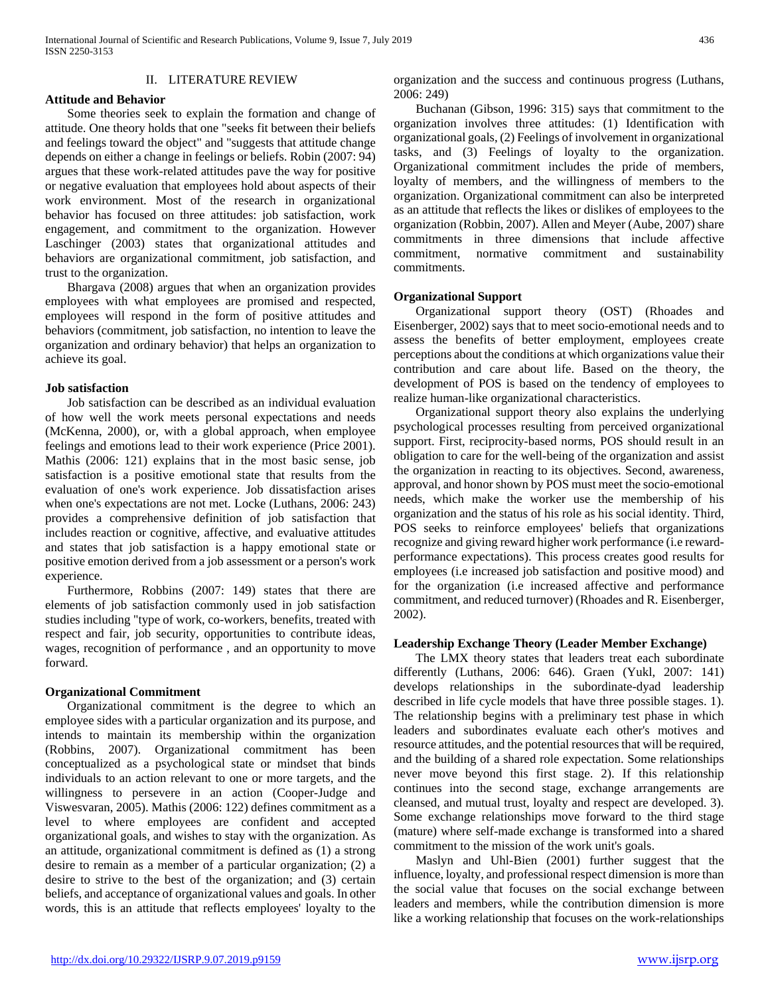#### II. LITERATURE REVIEW

#### **Attitude and Behavior**

 Some theories seek to explain the formation and change of attitude. One theory holds that one "seeks fit between their beliefs and feelings toward the object" and "suggests that attitude change depends on either a change in feelings or beliefs. Robin (2007: 94) argues that these work-related attitudes pave the way for positive or negative evaluation that employees hold about aspects of their work environment. Most of the research in organizational behavior has focused on three attitudes: job satisfaction, work engagement, and commitment to the organization. However Laschinger (2003) states that organizational attitudes and behaviors are organizational commitment, job satisfaction, and trust to the organization.

 Bhargava (2008) argues that when an organization provides employees with what employees are promised and respected, employees will respond in the form of positive attitudes and behaviors (commitment, job satisfaction, no intention to leave the organization and ordinary behavior) that helps an organization to achieve its goal.

#### **Job satisfaction**

 Job satisfaction can be described as an individual evaluation of how well the work meets personal expectations and needs (McKenna, 2000), or, with a global approach, when employee feelings and emotions lead to their work experience (Price 2001). Mathis (2006: 121) explains that in the most basic sense, job satisfaction is a positive emotional state that results from the evaluation of one's work experience. Job dissatisfaction arises when one's expectations are not met. Locke (Luthans, 2006: 243) provides a comprehensive definition of job satisfaction that includes reaction or cognitive, affective, and evaluative attitudes and states that job satisfaction is a happy emotional state or positive emotion derived from a job assessment or a person's work experience.

 Furthermore, Robbins (2007: 149) states that there are elements of job satisfaction commonly used in job satisfaction studies including "type of work, co-workers, benefits, treated with respect and fair, job security, opportunities to contribute ideas, wages, recognition of performance , and an opportunity to move forward.

## **Organizational Commitment**

 Organizational commitment is the degree to which an employee sides with a particular organization and its purpose, and intends to maintain its membership within the organization (Robbins, 2007). Organizational commitment has been conceptualized as a psychological state or mindset that binds individuals to an action relevant to one or more targets, and the willingness to persevere in an action (Cooper-Judge and Viswesvaran, 2005). Mathis (2006: 122) defines commitment as a level to where employees are confident and accepted organizational goals, and wishes to stay with the organization. As an attitude, organizational commitment is defined as (1) a strong desire to remain as a member of a particular organization; (2) a desire to strive to the best of the organization; and (3) certain beliefs, and acceptance of organizational values and goals. In other words, this is an attitude that reflects employees' loyalty to the

organization and the success and continuous progress (Luthans, 2006: 249)

 Buchanan (Gibson, 1996: 315) says that commitment to the organization involves three attitudes: (1) Identification with organizational goals, (2) Feelings of involvement in organizational tasks, and (3) Feelings of loyalty to the organization. Organizational commitment includes the pride of members, loyalty of members, and the willingness of members to the organization. Organizational commitment can also be interpreted as an attitude that reflects the likes or dislikes of employees to the organization (Robbin, 2007). Allen and Meyer (Aube, 2007) share commitments in three dimensions that include affective commitment, normative commitment and sustainability commitments.

## **Organizational Support**

 Organizational support theory (OST) (Rhoades and Eisenberger, 2002) says that to meet socio-emotional needs and to assess the benefits of better employment, employees create perceptions about the conditions at which organizations value their contribution and care about life. Based on the theory, the development of POS is based on the tendency of employees to realize human-like organizational characteristics.

 Organizational support theory also explains the underlying psychological processes resulting from perceived organizational support. First, reciprocity-based norms, POS should result in an obligation to care for the well-being of the organization and assist the organization in reacting to its objectives. Second, awareness, approval, and honor shown by POS must meet the socio-emotional needs, which make the worker use the membership of his organization and the status of his role as his social identity. Third, POS seeks to reinforce employees' beliefs that organizations recognize and giving reward higher work performance (i.e rewardperformance expectations). This process creates good results for employees (i.e increased job satisfaction and positive mood) and for the organization (i.e increased affective and performance commitment, and reduced turnover) (Rhoades and R. Eisenberger, 2002).

## **Leadership Exchange Theory (Leader Member Exchange)**

 The LMX theory states that leaders treat each subordinate differently (Luthans, 2006: 646). Graen (Yukl, 2007: 141) develops relationships in the subordinate-dyad leadership described in life cycle models that have three possible stages. 1). The relationship begins with a preliminary test phase in which leaders and subordinates evaluate each other's motives and resource attitudes, and the potential resources that will be required, and the building of a shared role expectation. Some relationships never move beyond this first stage. 2). If this relationship continues into the second stage, exchange arrangements are cleansed, and mutual trust, loyalty and respect are developed. 3). Some exchange relationships move forward to the third stage (mature) where self-made exchange is transformed into a shared commitment to the mission of the work unit's goals.

 Maslyn and Uhl-Bien (2001) further suggest that the influence, loyalty, and professional respect dimension is more than the social value that focuses on the social exchange between leaders and members, while the contribution dimension is more like a working relationship that focuses on the work-relationships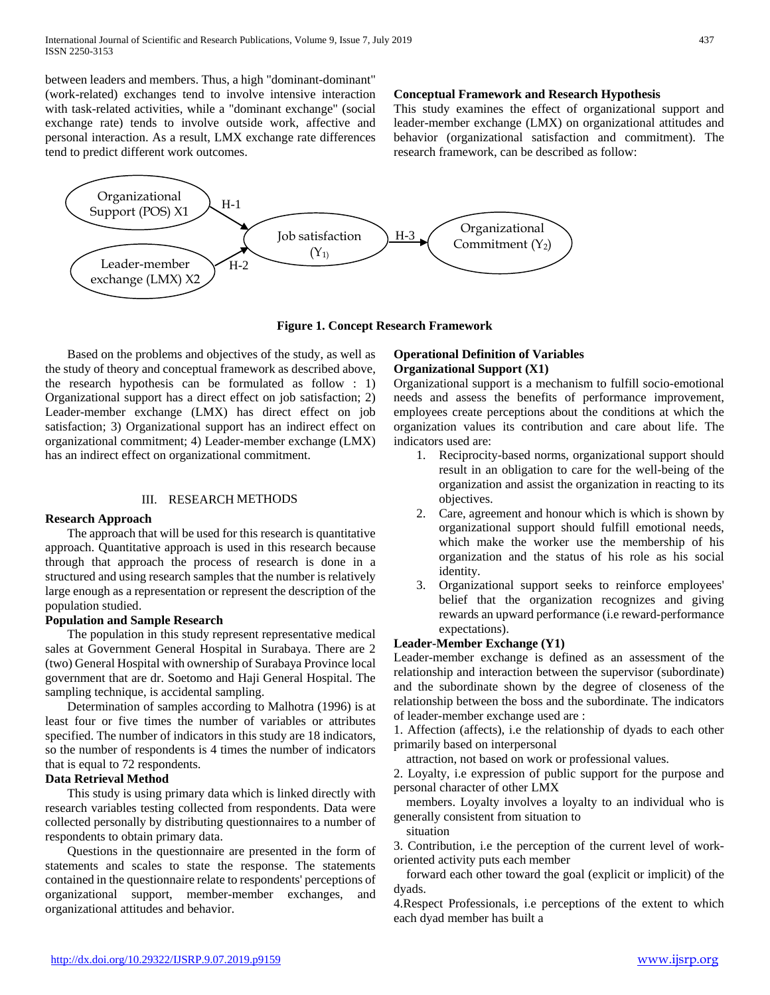between leaders and members. Thus, a high "dominant-dominant" (work-related) exchanges tend to involve intensive interaction with task-related activities, while a "dominant exchange" (social exchange rate) tends to involve outside work, affective and personal interaction. As a result, LMX exchange rate differences tend to predict different work outcomes.

# **Conceptual Framework and Research Hypothesis**

This study examines the effect of organizational support and leader-member exchange (LMX) on organizational attitudes and behavior (organizational satisfaction and commitment). The research framework, can be described as follow:



**Figure 1. Concept Research Framework**

 Based on the problems and objectives of the study, as well as the study of theory and conceptual framework as described above, the research hypothesis can be formulated as follow : 1) Organizational support has a direct effect on job satisfaction; 2) Leader-member exchange (LMX) has direct effect on job satisfaction; 3) Organizational support has an indirect effect on organizational commitment; 4) Leader-member exchange (LMX) has an indirect effect on organizational commitment.

## III. RESEARCH METHODS

## **Research Approach**

 The approach that will be used for this research is quantitative approach. Quantitative approach is used in this research because through that approach the process of research is done in a structured and using research samples that the number is relatively large enough as a representation or represent the description of the population studied.

## **Population and Sample Research**

 The population in this study represent representative medical sales at Government General Hospital in Surabaya. There are 2 (two) General Hospital with ownership of Surabaya Province local government that are dr. Soetomo and Haji General Hospital. The sampling technique, is accidental sampling.

 Determination of samples according to Malhotra (1996) is at least four or five times the number of variables or attributes specified. The number of indicators in this study are 18 indicators, so the number of respondents is 4 times the number of indicators that is equal to 72 respondents.

## **Data Retrieval Method**

 This study is using primary data which is linked directly with research variables testing collected from respondents. Data were collected personally by distributing questionnaires to a number of respondents to obtain primary data.

 Questions in the questionnaire are presented in the form of statements and scales to state the response. The statements contained in the questionnaire relate to respondents' perceptions of organizational support, member-member exchanges, and organizational attitudes and behavior.

## **Operational Definition of Variables Organizational Support (X1)**

Organizational support is a mechanism to fulfill socio-emotional needs and assess the benefits of performance improvement, employees create perceptions about the conditions at which the organization values its contribution and care about life. The indicators used are:

- 1. Reciprocity-based norms, organizational support should result in an obligation to care for the well-being of the organization and assist the organization in reacting to its objectives.
- 2. Care, agreement and honour which is which is shown by organizational support should fulfill emotional needs, which make the worker use the membership of his organization and the status of his role as his social identity.
- 3. Organizational support seeks to reinforce employees' belief that the organization recognizes and giving rewards an upward performance (i.e reward-performance expectations).

## **Leader-Member Exchange (Y1)**

Leader-member exchange is defined as an assessment of the relationship and interaction between the supervisor (subordinate) and the subordinate shown by the degree of closeness of the relationship between the boss and the subordinate. The indicators of leader-member exchange used are :

1. Affection (affects), i.e the relationship of dyads to each other primarily based on interpersonal

attraction, not based on work or professional values.

2. Loyalty, i.e expression of public support for the purpose and personal character of other LMX

 members. Loyalty involves a loyalty to an individual who is generally consistent from situation to

situation

3. Contribution, i.e the perception of the current level of workoriented activity puts each member

 forward each other toward the goal (explicit or implicit) of the dyads.

4.Respect Professionals, i.e perceptions of the extent to which each dyad member has built a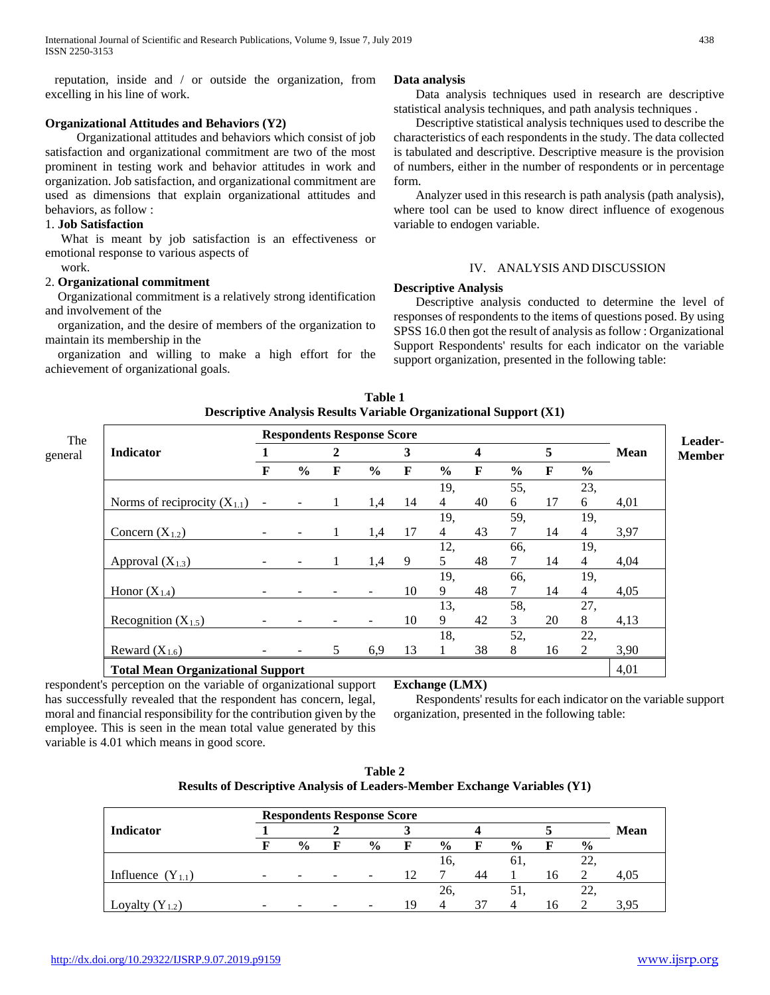reputation, inside and / or outside the organization, from excelling in his line of work.

## **Organizational Attitudes and Behaviors (Y2)**

 Organizational attitudes and behaviors which consist of job satisfaction and organizational commitment are two of the most prominent in testing work and behavior attitudes in work and organization. Job satisfaction, and organizational commitment are used as dimensions that explain organizational attitudes and behaviors, as follow :

## 1. **Job Satisfaction**

 What is meant by job satisfaction is an effectiveness or emotional response to various aspects of

#### work.

#### 2. **Organizational commitment**

 Organizational commitment is a relatively strong identification and involvement of the

 organization, and the desire of members of the organization to maintain its membership in the

 organization and willing to make a high effort for the achievement of organizational goals.

## **Data analysis**

 Data analysis techniques used in research are descriptive statistical analysis techniques, and path analysis techniques .

 Descriptive statistical analysis techniques used to describe the characteristics of each respondents in the study. The data collected is tabulated and descriptive. Descriptive measure is the provision of numbers, either in the number of respondents or in percentage form.

 Analyzer used in this research is path analysis (path analysis), where tool can be used to know direct influence of exogenous variable to endogen variable.

## IV. ANALYSIS AND DISCUSSION

## **Descriptive Analysis**

 Descriptive analysis conducted to determine the level of responses of respondents to the items of questions posed. By using SPSS 16.0 then got the result of analysis as follow : Organizational Support Respondents' results for each indicator on the variable support organization, presented in the following table:

|                                               |                          |               |                | <b>Respondents Response Score</b> |             |                |    |               |    |                |             |
|-----------------------------------------------|--------------------------|---------------|----------------|-----------------------------------|-------------|----------------|----|---------------|----|----------------|-------------|
| <b>Indicator</b>                              |                          |               | $\overline{2}$ |                                   | 3           |                | 4  |               | 5  |                | <b>Mean</b> |
|                                               | F                        | $\frac{6}{9}$ | F              | $\frac{0}{0}$                     | $\mathbf F$ | $\frac{6}{6}$  | F  | $\frac{6}{6}$ | F  | $\frac{6}{6}$  |             |
|                                               |                          |               |                |                                   |             | 19,            |    | 55,           |    | 23,            |             |
| Norms of reciprocity $(X_{1,1})$              |                          |               |                | 1,4                               | 14          | $\overline{4}$ | 40 | 6             | 17 | 6              | 4,01        |
|                                               |                          |               |                |                                   |             | 19,            |    | 59,           |    | 19,            |             |
| Concern $(X_{1,2})$                           |                          |               |                | 1,4                               | 17          | $\overline{4}$ | 43 | 7             | 14 | $\overline{4}$ | 3,97        |
|                                               |                          |               |                |                                   |             | 12,            |    | 66,           |    | 19,            |             |
| Approval $(X_{1,3})$                          | $\overline{\phantom{0}}$ |               | 1              | 1,4                               | 9           | 5              | 48 | 7             | 14 | 4              | 4,04        |
| Honor $(X_{1,4})$                             |                          |               |                |                                   |             | 19,            |    | 66,           |    | 19,            |             |
|                                               |                          |               |                |                                   | 10          | 9              | 48 |               | 14 | $\overline{4}$ | 4,05        |
|                                               |                          |               |                |                                   |             | 13,            |    | 58,           |    | 27,            |             |
| Recognition $(X_{1.5})$<br>Reward $(X_{1.6})$ |                          |               |                |                                   | 10          | 9              | 42 | 3             | 20 | 8              | 4,13        |
|                                               |                          |               |                |                                   |             | 18,            |    | 52,           |    | 22,            |             |
|                                               |                          |               | 5              | 6,9                               | 13          |                | 38 | 8             | 16 | 2              | 3,90        |
| <b>Total Mean Organizational Support</b>      |                          |               |                |                                   |             |                |    |               |    |                | 4,01        |

**Table 1 Descriptive Analysis Results Variable Organizational Support (X1)**

respondent's perception on the variable of organizational support has successfully revealed that the respondent has concern, legal, moral and financial responsibility for the contribution given by the employee. This is seen in the mean total value generated by this variable is 4.01 which means in good score.

## **Exchange (LMX)**

 Respondents' results for each indicator on the variable support organization, presented in the following table:

| Table 2                                                                          |
|----------------------------------------------------------------------------------|
| <b>Results of Descriptive Analysis of Leaders-Member Exchange Variables (Y1)</b> |

|                       |                          |               |   | <b>Respondents Response Score</b> |    |               |    |               |    |               |             |
|-----------------------|--------------------------|---------------|---|-----------------------------------|----|---------------|----|---------------|----|---------------|-------------|
| Indicator             |                          |               |   |                                   |    |               |    |               |    |               | <b>Mean</b> |
|                       |                          | $\frac{0}{0}$ | F | $\frac{0}{0}$                     | F  | $\frac{0}{0}$ | F  | $\frac{0}{0}$ | F  | $\frac{6}{6}$ |             |
|                       |                          |               |   |                                   |    | 16,           |    | 61.           |    |               |             |
| Influence $(Y_{1,1})$ | -                        | -             |   |                                   |    |               | 44 |               | 16 |               | 4.05        |
|                       |                          |               |   |                                   |    | 26.           |    |               |    | 22.           |             |
| Lovalty $(Y_1, y)$    | $\overline{\phantom{0}}$ |               |   |                                   | 19 |               | 37 | Δ             | 16 |               | 3.95        |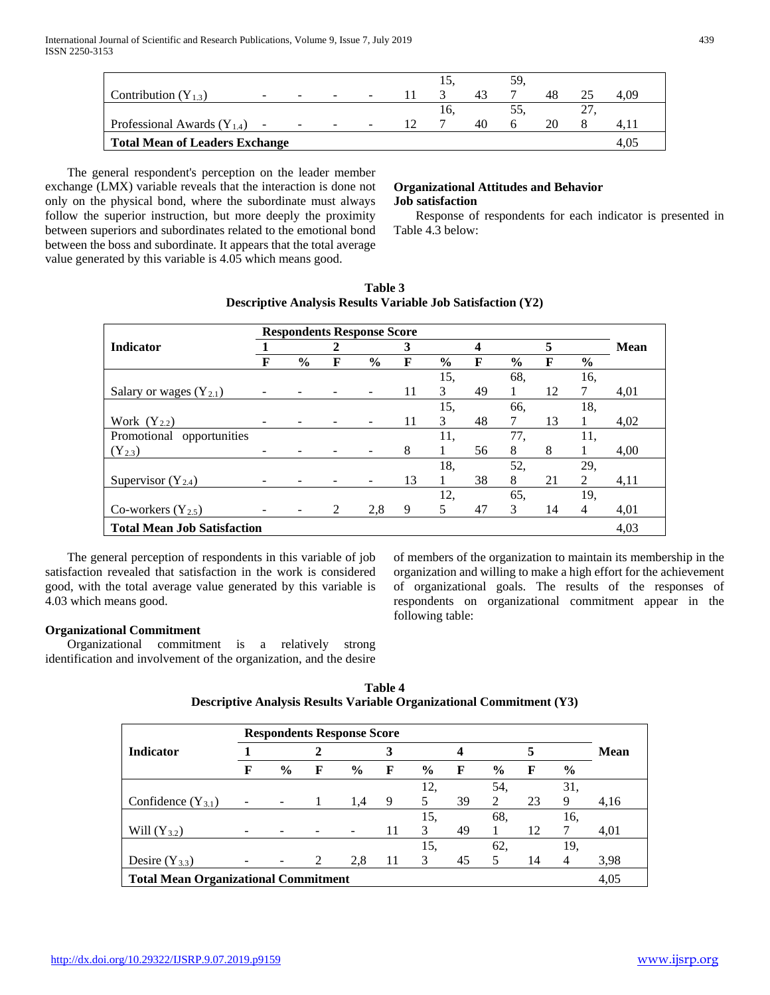|                                       |              |        |                                |                          |     |     |    | 59. |    |                      |      |
|---------------------------------------|--------------|--------|--------------------------------|--------------------------|-----|-----|----|-----|----|----------------------|------|
| Contribution $(Y_{1,3})$              | <u>. так</u> | $\sim$ | <b>Contract Contract State</b> | $\overline{\phantom{a}}$ |     |     | 43 |     | 48 |                      | 4.09 |
|                                       |              |        |                                |                          |     | 10. |    |     |    | $\sim$ $\sim$ $\sim$ |      |
| Professional Awards $(Y_{1,4})$ -     |              |        | the company of the company of  | $\overline{\phantom{a}}$ | 12. |     | 40 |     | 20 |                      |      |
| <b>Total Mean of Leaders Exchange</b> |              |        |                                |                          |     |     |    |     |    |                      |      |

 The general respondent's perception on the leader member exchange (LMX) variable reveals that the interaction is done not only on the physical bond, where the subordinate must always follow the superior instruction, but more deeply the proximity between superiors and subordinates related to the emotional bond between the boss and subordinate. It appears that the total average value generated by this variable is 4.05 which means good.

# **Organizational Attitudes and Behavior Job satisfaction**

 Response of respondents for each indicator is presented in Table 4.3 below:

|                                    |   |               |   | <b>Respondents Response Score</b> |    |               |    |               |    |               |      |
|------------------------------------|---|---------------|---|-----------------------------------|----|---------------|----|---------------|----|---------------|------|
| <b>Indicator</b>                   |   |               | 2 |                                   | 3  |               | 4  |               | 5  |               | Mean |
|                                    | F | $\frac{6}{9}$ | F | $\%$                              | F  | $\frac{6}{9}$ | F  | $\frac{6}{9}$ | F  | $\frac{0}{0}$ |      |
|                                    |   |               |   |                                   |    | 15,           |    | 68,           |    | 16,           |      |
| Salary or wages $(Y_{2,1})$        |   |               |   |                                   | 11 | 3             | 49 |               | 12 | 7             | 4,01 |
|                                    |   |               |   |                                   |    | 15,           |    | 66.           |    | 18.           |      |
| Work $(Y_{2,2})$                   |   |               |   |                                   | 11 | 3             | 48 | 7             | 13 |               | 4,02 |
| opportunities<br>Promotional       |   |               |   |                                   |    | 11.           |    | 77,           |    | 11,           |      |
| $(Y_{2.3})$                        |   |               |   |                                   | 8  |               | 56 | 8             | 8  |               | 4,00 |
|                                    |   |               |   |                                   |    | 18,           |    | 52,           |    | 29,           |      |
| Supervisor $(Y_{2,4})$             |   |               |   |                                   | 13 | 1             | 38 | 8             | 21 | 2             | 4,11 |
|                                    |   |               |   |                                   |    | 12,           |    | 65,           |    | 19.           |      |
| Co-workers $(Y_{2.5})$             |   |               | 2 | 2,8                               | 9  | 5             | 47 | 3             | 14 | 4             | 4,01 |
| <b>Total Mean Job Satisfaction</b> |   |               |   |                                   |    |               |    |               |    |               | 4,03 |

**Table 3 Descriptive Analysis Results Variable Job Satisfaction (Y2)**

 The general perception of respondents in this variable of job satisfaction revealed that satisfaction in the work is considered good, with the total average value generated by this variable is 4.03 which means good.

of members of the organization to maintain its membership in the organization and willing to make a high effort for the achievement of organizational goals. The results of the responses of respondents on organizational commitment appear in the following table:

# **Organizational Commitment**

 Organizational commitment is a relatively strong identification and involvement of the organization, and the desire

| <b>Respondents Response Score</b>           |                          |                          |   |               |    |               |    |                |    |               |      |
|---------------------------------------------|--------------------------|--------------------------|---|---------------|----|---------------|----|----------------|----|---------------|------|
| <b>Indicator</b>                            |                          |                          |   |               | 3  |               | 4  |                |    |               | Mean |
|                                             | F                        | $\frac{6}{9}$            | F | $\frac{6}{9}$ | F  | $\frac{6}{9}$ | F  | $\frac{6}{9}$  | F  | $\frac{6}{9}$ |      |
|                                             |                          |                          |   |               |    | 12.           |    | 54.            |    | 31.           |      |
| Confidence $(Y_{3,1})$                      | $\overline{\phantom{a}}$ | $\overline{\phantom{a}}$ |   | 1.4           | 9  | 5             | 39 | $\mathfrak{D}$ | 23 | 9             | 4,16 |
|                                             |                          |                          |   |               |    | 15,           |    | 68.            |    | 16.           |      |
| Will $(Y_{3,2})$                            |                          |                          |   |               | 11 | 3             | 49 |                | 12 |               | 4,01 |
|                                             |                          |                          |   |               |    | 15,           |    | 62.            |    | 19.           |      |
| Desire $(Y_{3,3})$                          | $\overline{\phantom{0}}$ | $\overline{\phantom{a}}$ | 2 | 2.8           | 11 | 3             | 45 | 5              | 14 | 4             | 3,98 |
| <b>Total Mean Organizational Commitment</b> |                          |                          |   |               |    |               |    |                |    |               | 4,05 |

**Table 4 Descriptive Analysis Results Variable Organizational Commitment (Y3)**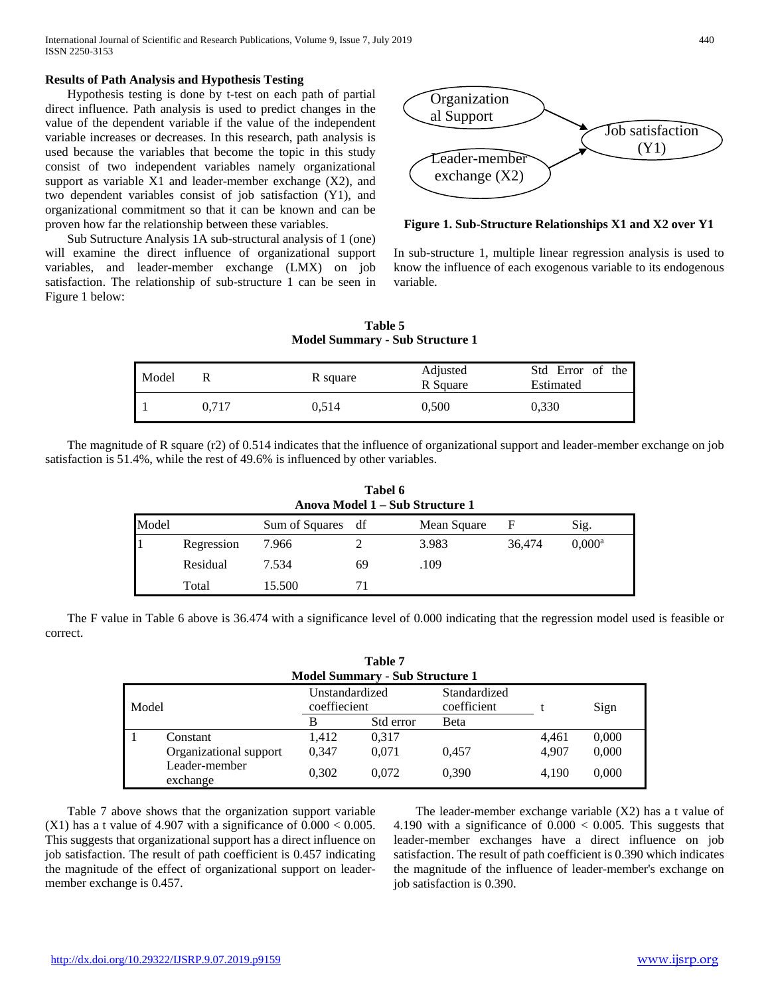#### **Results of Path Analysis and Hypothesis Testing**

 Hypothesis testing is done by t-test on each path of partial direct influence. Path analysis is used to predict changes in the value of the dependent variable if the value of the independent variable increases or decreases. In this research, path analysis is used because the variables that become the topic in this study consist of two independent variables namely organizational support as variable X1 and leader-member exchange (X2), and two dependent variables consist of job satisfaction (Y1), and organizational commitment so that it can be known and can be proven how far the relationship between these variables.

 Sub Sutructure Analysis 1A sub-structural analysis of 1 (one) will examine the direct influence of organizational support variables, and leader-member exchange (LMX) on job satisfaction. The relationship of sub-structure 1 can be seen in Figure 1 below:



#### **Figure 1. Sub-Structure Relationships X1 and X2 over Y1**

In sub-structure 1, multiple linear regression analysis is used to know the influence of each exogenous variable to its endogenous variable.

**Table 5 Model Summary - Sub Structure 1**

| Model |       | R square | Adjusted<br>R Square | Std Error of the<br>Estimated |
|-------|-------|----------|----------------------|-------------------------------|
|       | 0.717 | 0.514    | 0,500                | 0,330                         |

 The magnitude of R square (r2) of 0.514 indicates that the influence of organizational support and leader-member exchange on job satisfaction is 51.4%, while the rest of 49.6% is influenced by other variables.

|       | Tabel 6<br>Anova Model 1 – Sub Structure 1 |                |    |             |        |                      |  |  |  |
|-------|--------------------------------------------|----------------|----|-------------|--------|----------------------|--|--|--|
| Model |                                            | Sum of Squares | df | Mean Square | F      | Sig.                 |  |  |  |
|       | Regression                                 | 7.966          |    | 3.983       | 36,474 | $0.000$ <sup>a</sup> |  |  |  |
|       | Residual                                   | 7.534          | 69 | .109        |        |                      |  |  |  |
|       | Total                                      | 15.500         | 71 |             |        |                      |  |  |  |

 The F value in Table 6 above is 36.474 with a significance level of 0.000 indicating that the regression model used is feasible or correct.

|       |                           |                                | Table 7                                |                             |       |       |
|-------|---------------------------|--------------------------------|----------------------------------------|-----------------------------|-------|-------|
|       |                           |                                | <b>Model Summary - Sub Structure 1</b> |                             |       |       |
| Model |                           | Unstandardized<br>coeffiecient |                                        | Standardized<br>coefficient |       | Sign  |
|       |                           | B                              | Std error                              | Beta                        |       |       |
|       | Constant                  | 1.412                          | 0.317                                  |                             | 4,461 | 0,000 |
|       | Organizational support    | 0.347                          | 0,071                                  | 0.457                       | 4.907 | 0,000 |
|       | Leader-member<br>exchange | 0,302                          | 0.072                                  | 0,390                       | 4,190 | 0,000 |

 Table 7 above shows that the organization support variable  $(X1)$  has a t value of 4.907 with a significance of  $0.000 < 0.005$ . This suggests that organizational support has a direct influence on job satisfaction. The result of path coefficient is 0.457 indicating the magnitude of the effect of organizational support on leadermember exchange is 0.457.

 The leader-member exchange variable (X2) has a t value of 4.190 with a significance of 0.000 < 0.005. This suggests that leader-member exchanges have a direct influence on job satisfaction. The result of path coefficient is 0.390 which indicates the magnitude of the influence of leader-member's exchange on job satisfaction is 0.390.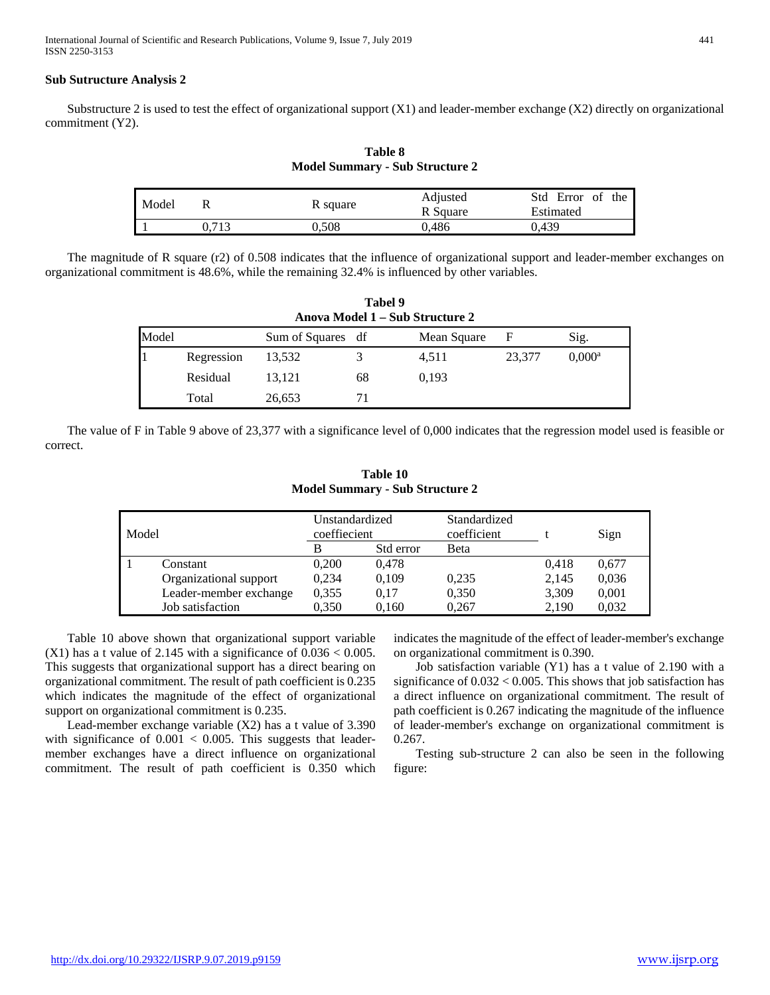International Journal of Scientific and Research Publications, Volume 9, Issue 7, July 2019 441 ISSN 2250-3153

#### **Sub Sutructure Analysis 2**

 Substructure 2 is used to test the effect of organizational support (X1) and leader-member exchange (X2) directly on organizational commitment (Y2).

**Table 8 Model Summary - Sub Structure 2**

| Model |      | R square | Adjusted<br>R Square | Std Error of the<br>Estimated |
|-------|------|----------|----------------------|-------------------------------|
|       | .713 | ).508    | 0.486                | 0.439                         |

 The magnitude of R square (r2) of 0.508 indicates that the influence of organizational support and leader-member exchanges on organizational commitment is 48.6%, while the remaining 32.4% is influenced by other variables.

|       | Tabel 9<br>Anova Model 1 – Sub Structure 2 |                   |    |             |        |                      |  |  |  |  |
|-------|--------------------------------------------|-------------------|----|-------------|--------|----------------------|--|--|--|--|
| Model |                                            | Sum of Squares df |    | Mean Square | F      | Sig.                 |  |  |  |  |
|       | Regression                                 | 13,532            | 3  | 4,511       | 23,377 | $0.000$ <sup>a</sup> |  |  |  |  |
|       | Residual                                   | 13,121            | 68 | 0.193       |        |                      |  |  |  |  |
|       | Total                                      | 26,653            | 71 |             |        |                      |  |  |  |  |

 The value of F in Table 9 above of 23,377 with a significance level of 0,000 indicates that the regression model used is feasible or correct.

|       |                        |                                | <b>Model Summary - Sub Structure 2</b> |                             |       |       |
|-------|------------------------|--------------------------------|----------------------------------------|-----------------------------|-------|-------|
| Model |                        | Unstandardized<br>coeffiecient |                                        | Standardized<br>coefficient |       | Sign  |
|       |                        | B                              | Std error                              | Beta                        |       |       |
|       | Constant               | 0,200                          | 0.478                                  |                             | 0.418 | 0,677 |
|       | Organizational support | 0,234                          | 0,109                                  | 0,235                       | 2,145 | 0,036 |
|       | Leader-member exchange | 0.355                          | 0,17                                   | 0,350                       | 3,309 | 0,001 |
|       | Job satisfaction       | 0.350                          | 0,160                                  | 0,267                       | 2.190 | 0,032 |

**Table 10**

 Table 10 above shown that organizational support variable  $(X1)$  has a t value of 2.145 with a significance of  $0.036 < 0.005$ . This suggests that organizational support has a direct bearing on organizational commitment. The result of path coefficient is 0.235 which indicates the magnitude of the effect of organizational support on organizational commitment is 0.235.

 Lead-member exchange variable (X2) has a t value of 3.390 with significance of  $0.001 < 0.005$ . This suggests that leadermember exchanges have a direct influence on organizational commitment. The result of path coefficient is 0.350 which indicates the magnitude of the effect of leader-member's exchange on organizational commitment is 0.390.

 Job satisfaction variable (Y1) has a t value of 2.190 with a significance of 0.032 < 0.005. This shows that job satisfaction has a direct influence on organizational commitment. The result of path coefficient is 0.267 indicating the magnitude of the influence of leader-member's exchange on organizational commitment is 0.267.

 Testing sub-structure 2 can also be seen in the following figure: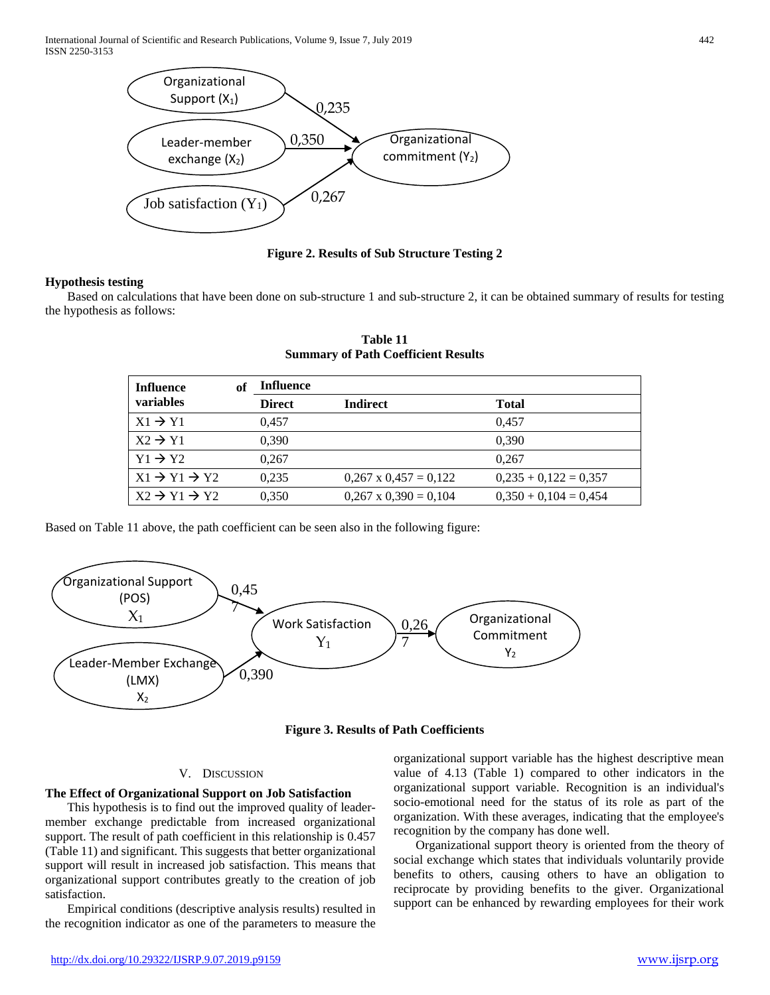International Journal of Scientific and Research Publications, Volume 9, Issue 7, July 2019 442 ISSN 2250-3153



**Figure 2. Results of Sub Structure Testing 2**

#### **Hypothesis testing**

 Based on calculations that have been done on sub-structure 1 and sub-structure 2, it can be obtained summary of results for testing the hypothesis as follows:

| <b>Influence</b><br>variables      | Оt | <b>Influence</b> |                              |                         |
|------------------------------------|----|------------------|------------------------------|-------------------------|
|                                    |    | <b>Direct</b>    | <b>Indirect</b>              | <b>Total</b>            |
| $X1 \rightarrow Y1$                |    | 0.457            |                              | 0.457                   |
| $X2 \rightarrow Y1$                |    | 0.390            |                              | 0.390                   |
| $Y1 \rightarrow Y2$                |    | 0.267            |                              | 0.267                   |
| $X1 \rightarrow Y1 \rightarrow Y2$ |    | 0.235            | $0.267 \times 0.457 = 0.122$ | $0,235 + 0,122 = 0,357$ |
| $X2 \rightarrow Y1 \rightarrow Y2$ |    | 0.350            | $0.267 \times 0.390 = 0.104$ | $0.350 + 0.104 = 0.454$ |

**Table 11 Summary of Path Coefficient Results**

Based on Table 11 above, the path coefficient can be seen also in the following figure:





#### V. DISCUSSION

#### **The Effect of Organizational Support on Job Satisfaction**

 This hypothesis is to find out the improved quality of leadermember exchange predictable from increased organizational support. The result of path coefficient in this relationship is 0.457 (Table 11) and significant. This suggests that better organizational support will result in increased job satisfaction. This means that organizational support contributes greatly to the creation of job satisfaction.

 Empirical conditions (descriptive analysis results) resulted in the recognition indicator as one of the parameters to measure the

organizational support variable has the highest descriptive mean value of 4.13 (Table 1) compared to other indicators in the organizational support variable. Recognition is an individual's socio-emotional need for the status of its role as part of the organization. With these averages, indicating that the employee's recognition by the company has done well.

 Organizational support theory is oriented from the theory of social exchange which states that individuals voluntarily provide benefits to others, causing others to have an obligation to reciprocate by providing benefits to the giver. Organizational support can be enhanced by rewarding employees for their work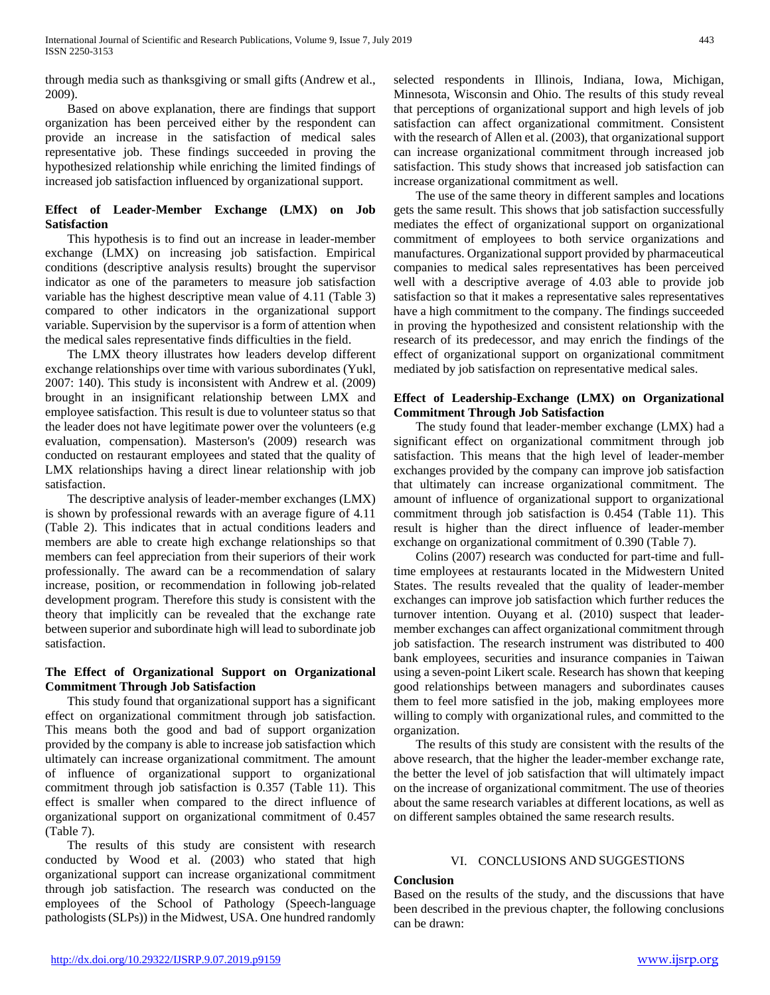through media such as thanksgiving or small gifts (Andrew et al., 2009).

 Based on above explanation, there are findings that support organization has been perceived either by the respondent can provide an increase in the satisfaction of medical sales representative job. These findings succeeded in proving the hypothesized relationship while enriching the limited findings of increased job satisfaction influenced by organizational support.

# **Effect of Leader-Member Exchange (LMX) on Job Satisfaction**

 This hypothesis is to find out an increase in leader-member exchange (LMX) on increasing job satisfaction. Empirical conditions (descriptive analysis results) brought the supervisor indicator as one of the parameters to measure job satisfaction variable has the highest descriptive mean value of 4.11 (Table 3) compared to other indicators in the organizational support variable. Supervision by the supervisor is a form of attention when the medical sales representative finds difficulties in the field.

 The LMX theory illustrates how leaders develop different exchange relationships over time with various subordinates (Yukl, 2007: 140). This study is inconsistent with Andrew et al. (2009) brought in an insignificant relationship between LMX and employee satisfaction. This result is due to volunteer status so that the leader does not have legitimate power over the volunteers (e.g evaluation, compensation). Masterson's (2009) research was conducted on restaurant employees and stated that the quality of LMX relationships having a direct linear relationship with job satisfaction.

 The descriptive analysis of leader-member exchanges (LMX) is shown by professional rewards with an average figure of 4.11 (Table 2). This indicates that in actual conditions leaders and members are able to create high exchange relationships so that members can feel appreciation from their superiors of their work professionally. The award can be a recommendation of salary increase, position, or recommendation in following job-related development program. Therefore this study is consistent with the theory that implicitly can be revealed that the exchange rate between superior and subordinate high will lead to subordinate job satisfaction.

# **The Effect of Organizational Support on Organizational Commitment Through Job Satisfaction**

 This study found that organizational support has a significant effect on organizational commitment through job satisfaction. This means both the good and bad of support organization provided by the company is able to increase job satisfaction which ultimately can increase organizational commitment. The amount of influence of organizational support to organizational commitment through job satisfaction is 0.357 (Table 11). This effect is smaller when compared to the direct influence of organizational support on organizational commitment of 0.457 (Table 7).

 The results of this study are consistent with research conducted by Wood et al. (2003) who stated that high organizational support can increase organizational commitment through job satisfaction. The research was conducted on the employees of the School of Pathology (Speech-language pathologists (SLPs)) in the Midwest, USA. One hundred randomly

selected respondents in Illinois, Indiana, Iowa, Michigan, Minnesota, Wisconsin and Ohio. The results of this study reveal that perceptions of organizational support and high levels of job satisfaction can affect organizational commitment. Consistent with the research of Allen et al. (2003), that organizational support can increase organizational commitment through increased job satisfaction. This study shows that increased job satisfaction can increase organizational commitment as well.

 The use of the same theory in different samples and locations gets the same result. This shows that job satisfaction successfully mediates the effect of organizational support on organizational commitment of employees to both service organizations and manufactures. Organizational support provided by pharmaceutical companies to medical sales representatives has been perceived well with a descriptive average of 4.03 able to provide job satisfaction so that it makes a representative sales representatives have a high commitment to the company. The findings succeeded in proving the hypothesized and consistent relationship with the research of its predecessor, and may enrich the findings of the effect of organizational support on organizational commitment mediated by job satisfaction on representative medical sales.

# **Effect of Leadership-Exchange (LMX) on Organizational Commitment Through Job Satisfaction**

 The study found that leader-member exchange (LMX) had a significant effect on organizational commitment through job satisfaction. This means that the high level of leader-member exchanges provided by the company can improve job satisfaction that ultimately can increase organizational commitment. The amount of influence of organizational support to organizational commitment through job satisfaction is 0.454 (Table 11). This result is higher than the direct influence of leader-member exchange on organizational commitment of 0.390 (Table 7).

 Colins (2007) research was conducted for part-time and fulltime employees at restaurants located in the Midwestern United States. The results revealed that the quality of leader-member exchanges can improve job satisfaction which further reduces the turnover intention. Ouyang et al. (2010) suspect that leadermember exchanges can affect organizational commitment through job satisfaction. The research instrument was distributed to 400 bank employees, securities and insurance companies in Taiwan using a seven-point Likert scale. Research has shown that keeping good relationships between managers and subordinates causes them to feel more satisfied in the job, making employees more willing to comply with organizational rules, and committed to the organization.

 The results of this study are consistent with the results of the above research, that the higher the leader-member exchange rate, the better the level of job satisfaction that will ultimately impact on the increase of organizational commitment. The use of theories about the same research variables at different locations, as well as on different samples obtained the same research results.

# VI. CONCLUSIONS AND SUGGESTIONS

## **Conclusion**

Based on the results of the study, and the discussions that have been described in the previous chapter, the following conclusions can be drawn: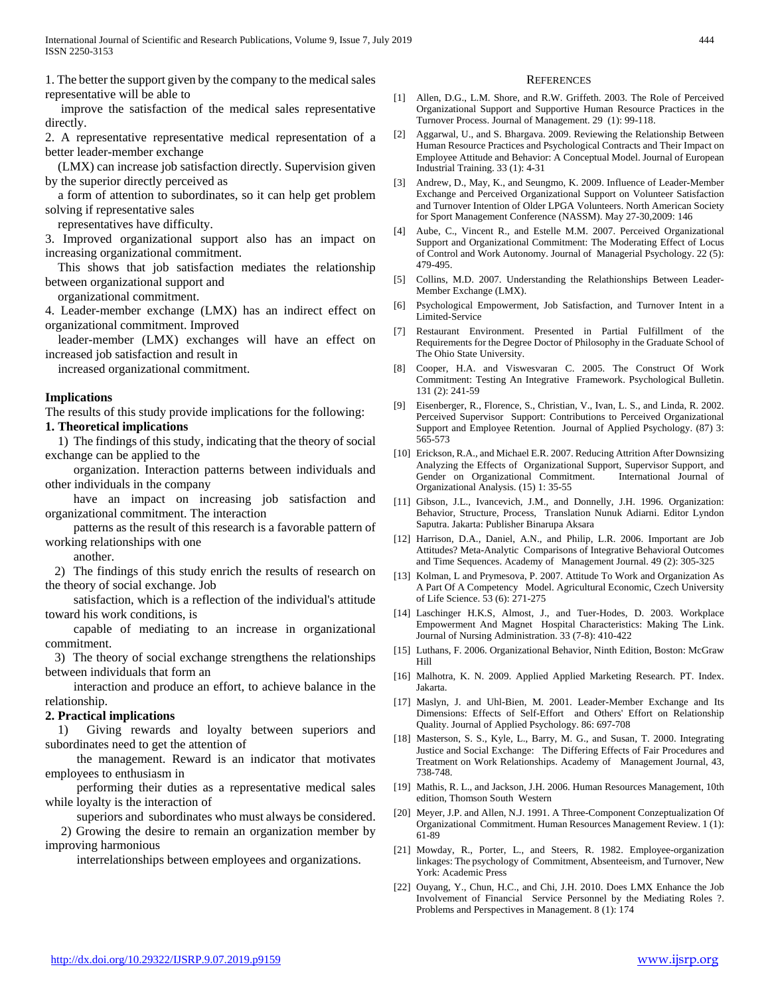1. The better the support given by the company to the medical sales representative will be able to

 improve the satisfaction of the medical sales representative directly.

2. A representative representative medical representation of a better leader-member exchange

 (LMX) can increase job satisfaction directly. Supervision given by the superior directly perceived as

 a form of attention to subordinates, so it can help get problem solving if representative sales

representatives have difficulty.

3. Improved organizational support also has an impact on increasing organizational commitment.

 This shows that job satisfaction mediates the relationship between organizational support and

organizational commitment.

4. Leader-member exchange (LMX) has an indirect effect on organizational commitment. Improved

 leader-member (LMX) exchanges will have an effect on increased job satisfaction and result in

increased organizational commitment.

#### **Implications**

The results of this study provide implications for the following:

#### **1. Theoretical implications**

 1) The findings of this study, indicating that the theory of social exchange can be applied to the

 organization. Interaction patterns between individuals and other individuals in the company

 have an impact on increasing job satisfaction and organizational commitment. The interaction

 patterns as the result of this research is a favorable pattern of working relationships with one

another.

 2) The findings of this study enrich the results of research on the theory of social exchange. Job

 satisfaction, which is a reflection of the individual's attitude toward his work conditions, is

 capable of mediating to an increase in organizational commitment.

 3) The theory of social exchange strengthens the relationships between individuals that form an

 interaction and produce an effort, to achieve balance in the relationship.

#### **2. Practical implications**

 1) Giving rewards and loyalty between superiors and subordinates need to get the attention of

 the management. Reward is an indicator that motivates employees to enthusiasm in

 performing their duties as a representative medical sales while loyalty is the interaction of

superiors and subordinates who must always be considered.

 2) Growing the desire to remain an organization member by improving harmonious

interrelationships between employees and organizations.

#### **REFERENCES**

- [1] Allen, D.G., L.M. Shore, and R.W. Griffeth. 2003. The Role of Perceived Organizational Support and Supportive Human Resource Practices in the Turnover Process. Journal of Management. 29 (1): 99-118.
- [2] Aggarwal, U., and S. Bhargava. 2009. Reviewing the Relationship Between Human Resource Practices and Psychological Contracts and Their Impact on Employee Attitude and Behavior: A Conceptual Model. Journal of European Industrial Training. 33 (1): 4-31
- [3] Andrew, D., May, K., and Seungmo, K. 2009. Influence of Leader-Member Exchange and Perceived Organizational Support on Volunteer Satisfaction and Turnover Intention of Older LPGA Volunteers. North American Society for Sport Management Conference (NASSM). May 27-30,2009: 146
- [4] Aube, C., Vincent R., and Estelle M.M. 2007. Perceived Organizational Support and Organizational Commitment: The Moderating Effect of Locus of Control and Work Autonomy. Journal of Managerial Psychology. 22 (5): 479-495.
- [5] Collins, M.D. 2007. Understanding the Relathionships Between Leader-Member Exchange (LMX).
- [6] Psychological Empowerment, Job Satisfaction, and Turnover Intent in a Limited-Service
- [7] Restaurant Environment. Presented in Partial Fulfillment of the Requirements for the Degree Doctor of Philosophy in the Graduate School of The Ohio State University.
- [8] Cooper, H.A. and Viswesvaran C. 2005. The Construct Of Work Commitment: Testing An Integrative Framework. Psychological Bulletin. 131 (2): 241-59
- [9] Eisenberger, R., Florence, S., Christian, V., Ivan, L. S., and Linda, R. 2002. Perceived Supervisor Support: Contributions to Perceived Organizational Support and Employee Retention. Journal of Applied Psychology. (87) 3: 565-573
- [10] Erickson, R.A., and Michael E.R. 2007. Reducing Attrition After Downsizing Analyzing the Effects of Organizational Support, Supervisor Support, and Gender on Organizational Commitment. International Journal of Organizational Analysis. (15) 1: 35-55
- [11] Gibson, J.L., Ivancevich, J.M., and Donnelly, J.H. 1996. Organization: Behavior, Structure, Process, Translation Nunuk Adiarni. Editor Lyndon Saputra. Jakarta: Publisher Binarupa Aksara
- [12] Harrison, D.A., Daniel, A.N., and Philip, L.R. 2006. Important are Job Attitudes? Meta-Analytic Comparisons of Integrative Behavioral Outcomes and Time Sequences. Academy of Management Journal. 49 (2): 305-325
- [13] Kolman, L and Prymesova, P. 2007. Attitude To Work and Organization As A Part Of A Competency Model. Agricultural Economic, Czech University of Life Science. 53 (6): 271-275
- [14] Laschinger H.K.S, Almost, J., and Tuer-Hodes, D. 2003. Workplace Empowerment And Magnet Hospital Characteristics: Making The Link. Journal of Nursing Administration. 33 (7-8): 410-422
- [15] Luthans, F. 2006. Organizational Behavior, Ninth Edition, Boston: McGraw Hill
- [16] Malhotra, K. N. 2009. Applied Applied Marketing Research. PT. Index. Jakarta.
- [17] Maslyn, J. and Uhl-Bien, M. 2001. Leader-Member Exchange and Its Dimensions: Effects of Self-Effort and Others' Effort on Relationship Quality. Journal of Applied Psychology. 86: 697-708
- [18] Masterson, S. S., Kyle, L., Barry, M. G., and Susan, T. 2000. Integrating Justice and Social Exchange: The Differing Effects of Fair Procedures and Treatment on Work Relationships. Academy of Management Journal, 43, 738-748.
- [19] Mathis, R. L., and Jackson, J.H. 2006. Human Resources Management, 10th edition, Thomson South Western
- [20] Meyer, J.P. and Allen, N.J. 1991. A Three-Component Conzeptualization Of Organizational Commitment. Human Resources Management Review. 1 (1): 61-89
- [21] Mowday, R., Porter, L., and Steers, R. 1982. Employee-organization linkages: The psychology of Commitment, Absenteeism, and Turnover, New York: Academic Press
- [22] Ouyang, Y., Chun, H.C., and Chi, J.H. 2010. Does LMX Enhance the Job Involvement of Financial Service Personnel by the Mediating Roles ?. Problems and Perspectives in Management. 8 (1): 174